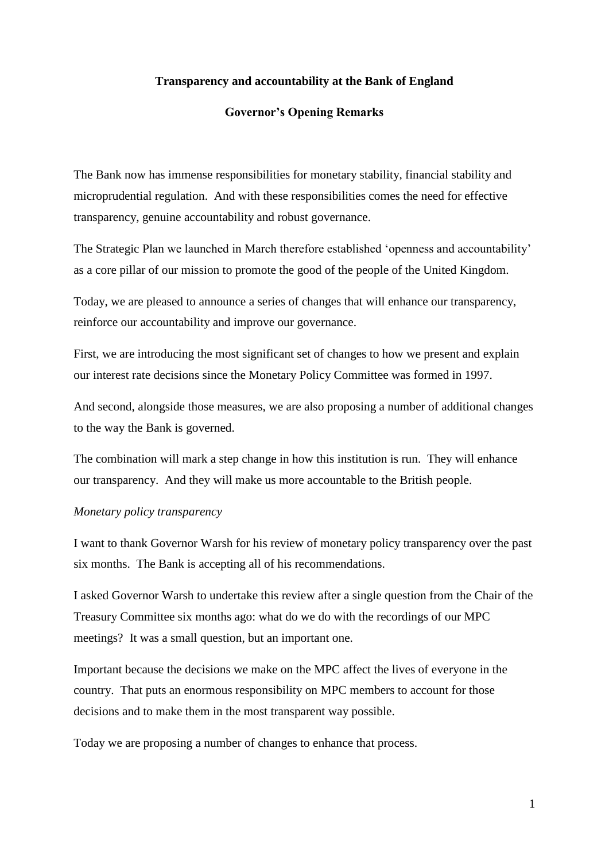### **Transparency and accountability at the Bank of England**

### **Governor's Opening Remarks**

The Bank now has immense responsibilities for monetary stability, financial stability and microprudential regulation. And with these responsibilities comes the need for effective transparency, genuine accountability and robust governance.

The Strategic Plan we launched in March therefore established 'openness and accountability' as a core pillar of our mission to promote the good of the people of the United Kingdom.

Today, we are pleased to announce a series of changes that will enhance our transparency, reinforce our accountability and improve our governance.

First, we are introducing the most significant set of changes to how we present and explain our interest rate decisions since the Monetary Policy Committee was formed in 1997.

And second, alongside those measures, we are also proposing a number of additional changes to the way the Bank is governed.

The combination will mark a step change in how this institution is run. They will enhance our transparency. And they will make us more accountable to the British people.

### *Monetary policy transparency*

I want to thank Governor Warsh for his review of monetary policy transparency over the past six months. The Bank is accepting all of his recommendations.

I asked Governor Warsh to undertake this review after a single question from the Chair of the Treasury Committee six months ago: what do we do with the recordings of our MPC meetings? It was a small question, but an important one.

Important because the decisions we make on the MPC affect the lives of everyone in the country. That puts an enormous responsibility on MPC members to account for those decisions and to make them in the most transparent way possible.

Today we are proposing a number of changes to enhance that process.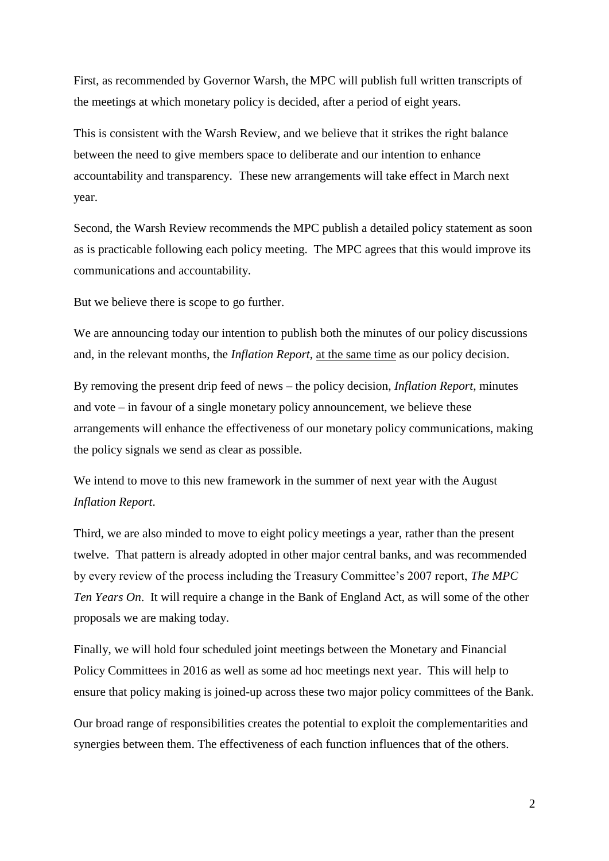First, as recommended by Governor Warsh, the MPC will publish full written transcripts of the meetings at which monetary policy is decided, after a period of eight years.

This is consistent with the Warsh Review, and we believe that it strikes the right balance between the need to give members space to deliberate and our intention to enhance accountability and transparency. These new arrangements will take effect in March next year.

Second, the Warsh Review recommends the MPC publish a detailed policy statement as soon as is practicable following each policy meeting. The MPC agrees that this would improve its communications and accountability.

But we believe there is scope to go further.

We are announcing today our intention to publish both the minutes of our policy discussions and, in the relevant months, the *Inflation Report*, at the same time as our policy decision.

By removing the present drip feed of news – the policy decision, *Inflation Report*, minutes and vote – in favour of a single monetary policy announcement, we believe these arrangements will enhance the effectiveness of our monetary policy communications, making the policy signals we send as clear as possible.

We intend to move to this new framework in the summer of next year with the August *Inflation Report*.

Third, we are also minded to move to eight policy meetings a year, rather than the present twelve. That pattern is already adopted in other major central banks, and was recommended by every review of the process including the Treasury Committee's 2007 report, *The MPC Ten Years On*. It will require a change in the Bank of England Act, as will some of the other proposals we are making today.

Finally, we will hold four scheduled joint meetings between the Monetary and Financial Policy Committees in 2016 as well as some ad hoc meetings next year. This will help to ensure that policy making is joined-up across these two major policy committees of the Bank.

Our broad range of responsibilities creates the potential to exploit the complementarities and synergies between them. The effectiveness of each function influences that of the others.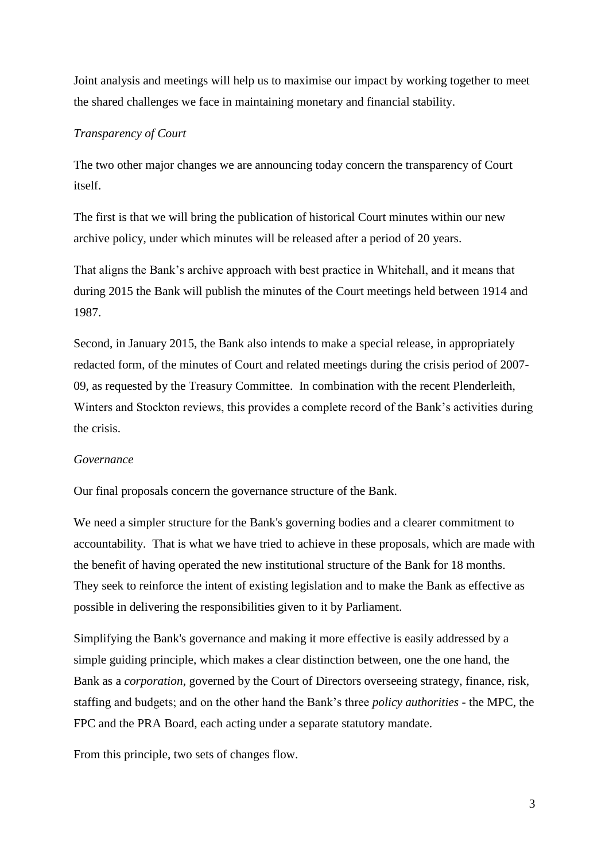Joint analysis and meetings will help us to maximise our impact by working together to meet the shared challenges we face in maintaining monetary and financial stability.

## *Transparency of Court*

The two other major changes we are announcing today concern the transparency of Court itself.

The first is that we will bring the publication of historical Court minutes within our new archive policy, under which minutes will be released after a period of 20 years.

That aligns the Bank's archive approach with best practice in Whitehall, and it means that during 2015 the Bank will publish the minutes of the Court meetings held between 1914 and 1987.

Second, in January 2015, the Bank also intends to make a special release, in appropriately redacted form, of the minutes of Court and related meetings during the crisis period of 2007- 09, as requested by the Treasury Committee. In combination with the recent Plenderleith, Winters and Stockton reviews, this provides a complete record of the Bank's activities during the crisis.

### *Governance*

Our final proposals concern the governance structure of the Bank.

We need a simpler structure for the Bank's governing bodies and a clearer commitment to accountability. That is what we have tried to achieve in these proposals, which are made with the benefit of having operated the new institutional structure of the Bank for 18 months. They seek to reinforce the intent of existing legislation and to make the Bank as effective as possible in delivering the responsibilities given to it by Parliament.

Simplifying the Bank's governance and making it more effective is easily addressed by a simple guiding principle, which makes a clear distinction between, one the one hand, the Bank as a *corporation*, governed by the Court of Directors overseeing strategy, finance, risk, staffing and budgets; and on the other hand the Bank's three *policy authorities* - the MPC, the FPC and the PRA Board, each acting under a separate statutory mandate.

From this principle, two sets of changes flow.